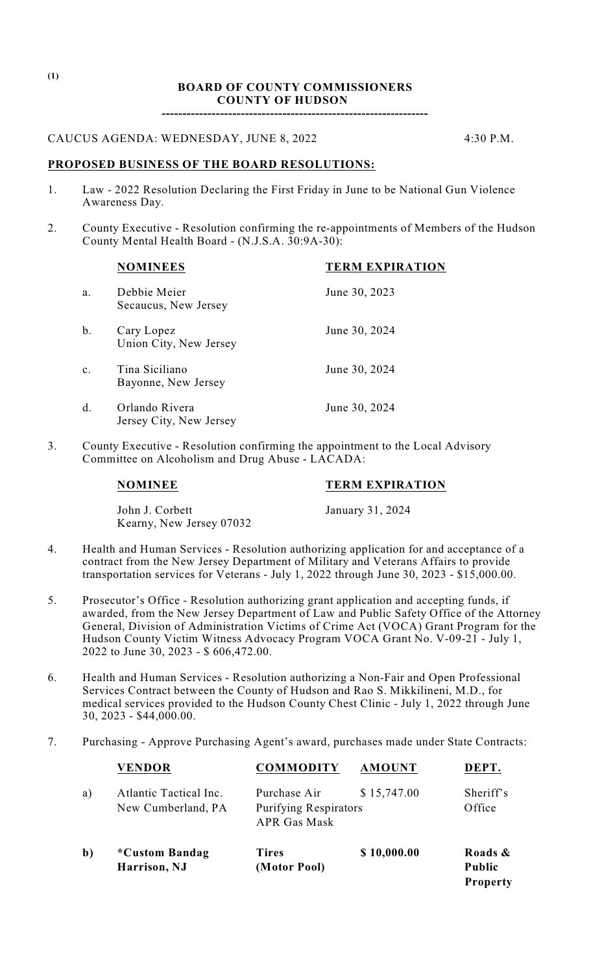### **BOARD OF COUNTY COMMISSIONERS COUNTY OF HUDSON**

**----------------------------------------------------------------**

## CAUCUS AGENDA: WEDNESDAY, JUNE 8, 2022 4:30 P.M.

## **PROPOSED BUSINESS OF THE BOARD RESOLUTIONS:**

- 1. Law 2022 Resolution Declaring the First Friday in June to be National Gun Violence Awareness Day.
- 2. County Executive Resolution confirming the re-appointments of Members of the Hudson County Mental Health Board - (N.J.S.A. 30:9A-30):

|                | <b>NOMINEES</b>                           | <b>TERM EXPIRATION</b> |
|----------------|-------------------------------------------|------------------------|
| a.             | Debbie Meier<br>Secaucus, New Jersey      | June 30, 2023          |
| b.             | Cary Lopez<br>Union City, New Jersey      | June 30, 2024          |
| $\mathbf{c}$ . | Tina Siciliano<br>Bayonne, New Jersey     | June 30, 2024          |
| d.             | Orlando Rivera<br>Jersey City, New Jersey | June 30, 2024          |

3. County Executive - Resolution confirming the appointment to the Local Advisory Committee on Alcoholism and Drug Abuse - LACADA:

John J. Corbett January 31, 2024 Kearny, New Jersey 07032

**NOMINEE TERM EXPIRATION**

- 4. Health and Human Services Resolution authorizing application for and acceptance of a contract from the New Jersey Department of Military and Veterans Affairs to provide transportation services for Veterans - July 1, 2022 through June 30, 2023 - \$15,000.00.
- 5. Prosecutor's Office Resolution authorizing grant application and accepting funds, if awarded, from the New Jersey Department of Law and Public Safety Office of the Attorney General, Division of Administration Victims of Crime Act (VOCA) Grant Program for the Hudson County Victim Witness Advocacy Program VOCA Grant No. V-09-21 - July 1, 2022 to June 30, 2023 - \$ 606,472.00.
- 6. Health and Human Services Resolution authorizing a Non-Fair and Open Professional Services Contract between the County of Hudson and Rao S. Mikkilineni, M.D., for medical services provided to the Hudson County Chest Clinic - July 1, 2022 through June 30, 2023 - \$44,000.00.
- 7. Purchasing Approve Purchasing Agent's award, purchases made under State Contracts:

|              | <b>VENDOR</b>                                | <b>COMMODITY</b>                                                    | <b>AMOUNT</b> | DEPT.                                       |
|--------------|----------------------------------------------|---------------------------------------------------------------------|---------------|---------------------------------------------|
| a)           | Atlantic Tactical Inc.<br>New Cumberland, PA | Purchase Air<br><b>Purifying Respirators</b><br><b>APR Gas Mask</b> | \$15,747.00   | Sheriff's<br>Office                         |
| $\mathbf{b}$ | *Custom Bandag<br>Harrison, NJ               | <b>Tires</b><br>(Motor Pool)                                        | \$10,000.00   | Roads &<br><b>Public</b><br><b>Property</b> |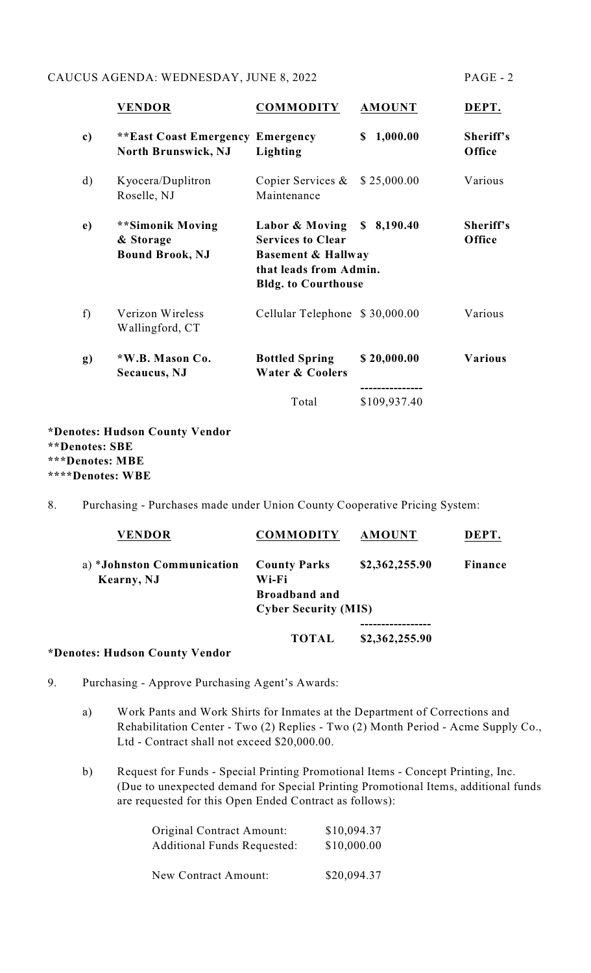## CAUCUS AGENDA: WEDNESDAY, JUNE 8, 2022 PAGE - 2

|    | <b>VENDOR</b>                                                         | <b>COMMODITY</b>                                                                                                                                | <b>AMOUNT</b>  | DEPT.               |
|----|-----------------------------------------------------------------------|-------------------------------------------------------------------------------------------------------------------------------------------------|----------------|---------------------|
| c) | <b>**East Coast Emergency Emergency</b><br><b>North Brunswick, NJ</b> | Lighting                                                                                                                                        | 1,000.00<br>\$ | Sheriff's<br>Office |
| d) | Kyocera/Duplitron<br>Roselle, NJ                                      | Copier Services &<br>Maintenance                                                                                                                | \$25,000.00    | Various             |
| e) | **Simonik Moving<br>& Storage<br><b>Bound Brook, NJ</b>               | Labor & Moving \$ 8,190.40<br><b>Services to Clear</b><br><b>Basement &amp; Hallway</b><br>that leads from Admin.<br><b>Bldg.</b> to Courthouse |                | Sheriff's<br>Office |
| f) | Verizon Wireless<br>Wallingford, CT                                   | Cellular Telephone \$30,000.00                                                                                                                  |                | Various             |
| g) | *W.B. Mason Co.<br><b>Secaucus</b> , NJ                               | <b>Bottled Spring</b><br><b>Water &amp; Coolers</b>                                                                                             | \$20,000.00    | Various             |
|    |                                                                       | Total                                                                                                                                           | \$109,937.40   |                     |

**\*Denotes: Hudson County Vendor \*\*Denotes: SBE \*\*\*Denotes: MBE \*\*\*\*Denotes: WBE**

8. Purchasing - Purchases made under Union County Cooperative Pricing System:

| <b>VENDOR</b>              | <b>COMMODITY</b>            | <b>AMOUNT</b>  | DEPT.   |
|----------------------------|-----------------------------|----------------|---------|
| a) *Johnston Communication | <b>County Parks</b>         | \$2,362,255.90 | Finance |
| Kearny, NJ                 | Wi-Fi                       |                |         |
|                            | <b>Broadband and</b>        |                |         |
|                            | <b>Cyber Security (MIS)</b> |                |         |
|                            |                             |                |         |
|                            | <b>TOTAL</b>                | \$2,362,255.90 |         |
|                            |                             |                |         |

## **\*Denotes: Hudson County Vendor**

- 9. Purchasing Approve Purchasing Agent's Awards:
	- a) Work Pants and Work Shirts for Inmates at the Department of Corrections and Rehabilitation Center - Two (2) Replies - Two (2) Month Period - Acme Supply Co., Ltd - Contract shall not exceed \$20,000.00.
	- b) Request for Funds Special Printing Promotional Items Concept Printing, Inc. (Due to unexpected demand for Special Printing Promotional Items, additional funds are requested for this Open Ended Contract as follows):

| Original Contract Amount:          | \$10,094.37 |
|------------------------------------|-------------|
| <b>Additional Funds Requested:</b> | \$10,000.00 |
| New Contract Amount:               | \$20,094.37 |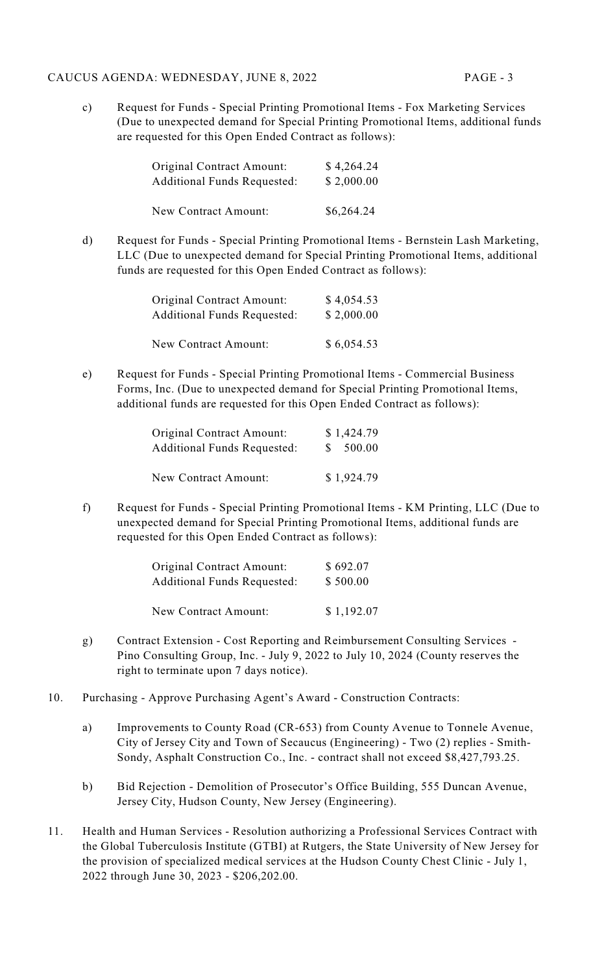### CAUCUS AGENDA: WEDNESDAY, JUNE 8, 2022 PAGE - 3

c) Request for Funds - Special Printing Promotional Items - Fox Marketing Services (Due to unexpected demand for Special Printing Promotional Items, additional funds are requested for this Open Ended Contract as follows):

| <b>Original Contract Amount:</b>   | \$4,264.24 |
|------------------------------------|------------|
| <b>Additional Funds Requested:</b> | \$2,000.00 |
| New Contract Amount:               | \$6,264.24 |

d) Request for Funds - Special Printing Promotional Items - Bernstein Lash Marketing, LLC (Due to unexpected demand for Special Printing Promotional Items, additional funds are requested for this Open Ended Contract as follows):

| Original Contract Amount:          | \$4,054.53 |
|------------------------------------|------------|
| <b>Additional Funds Requested:</b> | \$2,000.00 |
|                                    |            |
| New Contract Amount:               | \$6,054.53 |

e) Request for Funds - Special Printing Promotional Items - Commercial Business Forms, Inc. (Due to unexpected demand for Special Printing Promotional Items, additional funds are requested for this Open Ended Contract as follows):

| <b>Original Contract Amount:</b>   | \$1,424.79 |
|------------------------------------|------------|
| <b>Additional Funds Requested:</b> | \$500.00   |
|                                    |            |
| New Contract Amount:               | \$1,924.79 |

f) Request for Funds - Special Printing Promotional Items - KM Printing, LLC (Due to unexpected demand for Special Printing Promotional Items, additional funds are requested for this Open Ended Contract as follows):

| Original Contract Amount:          | \$692.07   |
|------------------------------------|------------|
| <b>Additional Funds Requested:</b> | \$500.00   |
| New Contract Amount:               | \$1,192.07 |

- g) Contract Extension Cost Reporting and Reimbursement Consulting Services Pino Consulting Group, Inc. - July 9, 2022 to July 10, 2024 (County reserves the right to terminate upon 7 days notice).
- 10. Purchasing Approve Purchasing Agent's Award Construction Contracts:
	- a) Improvements to County Road (CR-653) from County Avenue to Tonnele Avenue, City of Jersey City and Town of Secaucus (Engineering) - Two (2) replies - Smith-Sondy, Asphalt Construction Co., Inc. - contract shall not exceed \$8,427,793.25.
	- b) Bid Rejection Demolition of Prosecutor's Office Building, 555 Duncan Avenue, Jersey City, Hudson County, New Jersey (Engineering).
- 11. Health and Human Services Resolution authorizing a Professional Services Contract with the Global Tuberculosis Institute (GTBI) at Rutgers, the State University of New Jersey for the provision of specialized medical services at the Hudson County Chest Clinic - July 1, 2022 through June 30, 2023 - \$206,202.00.